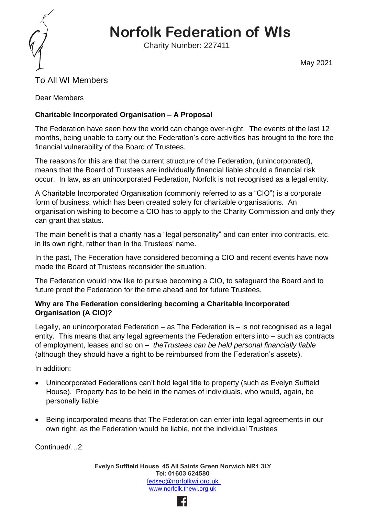

# **Norfolk Federation of WIs**

Charity Number: 227411

May 2021

## To All WI Members

Dear Members

### **Charitable Incorporated Organisation – A Proposal**

The Federation have seen how the world can change over-night. The events of the last 12 months, being unable to carry out the Federation's core activities has brought to the fore the financial vulnerability of the Board of Trustees.

The reasons for this are that the current structure of the Federation, (unincorporated), means that the Board of Trustees are individually financial liable should a financial risk occur. In law, as an unincorporated Federation, Norfolk is not recognised as a legal entity.

A Charitable Incorporated Organisation (commonly referred to as a "CIO") is a corporate form of business, which has been created solely for charitable organisations. An organisation wishing to become a CIO has to apply to the Charity Commission and only they can grant that status.

The main benefit is that a charity has a "legal personality" and can enter into contracts, etc. in its own right, rather than in the Trustees' name.

In the past, The Federation have considered becoming a CIO and recent events have now made the Board of Trustees reconsider the situation.

The Federation would now like to pursue becoming a CIO, to safeguard the Board and to future proof the Federation for the time ahead and for future Trustees.

#### **Why are The Federation considering becoming a Charitable Incorporated Organisation (A CIO)?**

Legally, an unincorporated Federation – as The Federation is – is not recognised as a legal entity. This means that any legal agreements the Federation enters into – such as contracts of employment, leases and so on – *theTrustees can be held personal financially liable* (although they should have a right to be reimbursed from the Federation's assets).

In addition:

- Unincorporated Federations can't hold legal title to property (such as Evelyn Suffield House). Property has to be held in the names of individuals, who would, again, be personally liable
- Being incorporated means that The Federation can enter into legal agreements in our own right, as the Federation would be liable, not the individual Trustees

Continued/…2

**Evelyn Suffield House 45 All Saints Green Norwich NR1 3LY Tel: 01603 624580** fedse[c@norfolkwi.org.uk](mailto:fedsec@norfolkwi.org.uk)  [www.norfolk.thewi.org.uk](http://www.norfolk.thewi.org.uk/)